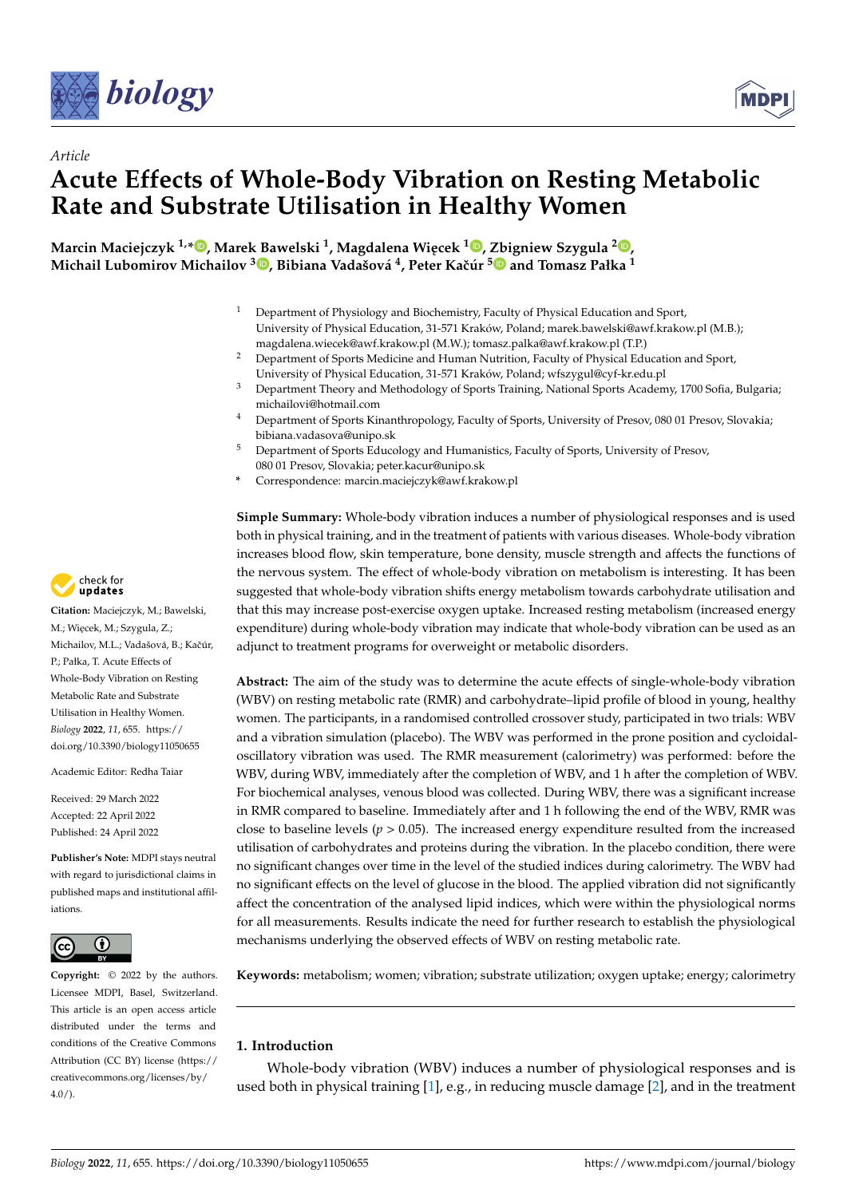



# *Article* **Acute Effects of Whole-Body Vibration on Resting Metabolic Rate and Substrate Utilisation in Healthy Women**

**Marcin Maciejczyk 1,\* [,](https://orcid.org/0000-0002-9505-4081) Marek Bawelski <sup>1</sup> , Magdalena Wi ˛ecek <sup>1</sup> [,](https://orcid.org/0000-0002-5390-3049) [Zb](https://orcid.org/0000-0001-7682-0871)igniew Szygula [2](https://orcid.org/0000-0002-6685-6579) , Michail Lubomirov Michailov <sup>3</sup> [,](https://orcid.org/0000-0001-7240-9591) Bibiana Vadašová 4 , Peter Kaˇcúr <sup>5</sup> and Tomasz Pałka <sup>1</sup>**

- <sup>1</sup> Department of Physiology and Biochemistry, Faculty of Physical Education and Sport, University of Physical Education, 31-571 Kraków, Poland; marek.bawelski@awf.krakow.pl (M.B.); magdalena.wiecek@awf.krakow.pl (M.W.); tomasz.palka@awf.krakow.pl (T.P.)
- <sup>2</sup> Department of Sports Medicine and Human Nutrition, Faculty of Physical Education and Sport, University of Physical Education, 31-571 Kraków, Poland; wfszygul@cyf-kr.edu.pl
- <sup>3</sup> Department Theory and Methodology of Sports Training, National Sports Academy, 1700 Sofia, Bulgaria; michailovi@hotmail.com
- <sup>4</sup> Department of Sports Kinanthropology, Faculty of Sports, University of Presov, 080 01 Presov, Slovakia; bibiana.vadasova@unipo.sk
- <sup>5</sup> Department of Sports Educology and Humanistics, Faculty of Sports, University of Presov, 080 01 Presov, Slovakia; peter.kacur@unipo.sk
- **\*** Correspondence: marcin.maciejczyk@awf.krakow.pl

**Simple Summary:** Whole-body vibration induces a number of physiological responses and is used both in physical training, and in the treatment of patients with various diseases. Whole-body vibration increases blood flow, skin temperature, bone density, muscle strength and affects the functions of the nervous system. The effect of whole-body vibration on metabolism is interesting. It has been suggested that whole-body vibration shifts energy metabolism towards carbohydrate utilisation and that this may increase post-exercise oxygen uptake. Increased resting metabolism (increased energy expenditure) during whole-body vibration may indicate that whole-body vibration can be used as an adjunct to treatment programs for overweight or metabolic disorders.

**Abstract:** The aim of the study was to determine the acute effects of single-whole-body vibration (WBV) on resting metabolic rate (RMR) and carbohydrate–lipid profile of blood in young, healthy women. The participants, in a randomised controlled crossover study, participated in two trials: WBV and a vibration simulation (placebo). The WBV was performed in the prone position and cycloidaloscillatory vibration was used. The RMR measurement (calorimetry) was performed: before the WBV, during WBV, immediately after the completion of WBV, and 1 h after the completion of WBV. For biochemical analyses, venous blood was collected. During WBV, there was a significant increase in RMR compared to baseline. Immediately after and 1 h following the end of the WBV, RMR was close to baseline levels ( $p > 0.05$ ). The increased energy expenditure resulted from the increased utilisation of carbohydrates and proteins during the vibration. In the placebo condition, there were no significant changes over time in the level of the studied indices during calorimetry. The WBV had no significant effects on the level of glucose in the blood. The applied vibration did not significantly affect the concentration of the analysed lipid indices, which were within the physiological norms for all measurements. Results indicate the need for further research to establish the physiological mechanisms underlying the observed effects of WBV on resting metabolic rate.

**Keywords:** metabolism; women; vibration; substrate utilization; oxygen uptake; energy; calorimetry

## **1. Introduction**

Whole-body vibration (WBV) induces a number of physiological responses and is used both in physical training [\[1\]](#page-9-0), e.g., in reducing muscle damage [\[2\]](#page-9-1), and in the treatment



**Citation:** Maciejczyk, M.; Bawelski, M.; Więcek, M.; Szygula, Z.; Michailov, M.L.; Vadašová, B.; Kačúr, P.; Pałka, T. Acute Effects of Whole-Body Vibration on Resting Metabolic Rate and Substrate Utilisation in Healthy Women. *Biology* **2022**, *11*, 655. [https://](https://doi.org/10.3390/biology11050655) [doi.org/10.3390/biology11050655](https://doi.org/10.3390/biology11050655)

Academic Editor: Redha Taiar

Received: 29 March 2022 Accepted: 22 April 2022 Published: 24 April 2022

**Publisher's Note:** MDPI stays neutral with regard to jurisdictional claims in published maps and institutional affiliations.



**Copyright:** © 2022 by the authors. Licensee MDPI, Basel, Switzerland. This article is an open access article distributed under the terms and conditions of the Creative Commons Attribution (CC BY) license [\(https://](https://creativecommons.org/licenses/by/4.0/) [creativecommons.org/licenses/by/](https://creativecommons.org/licenses/by/4.0/)  $4.0/$ ).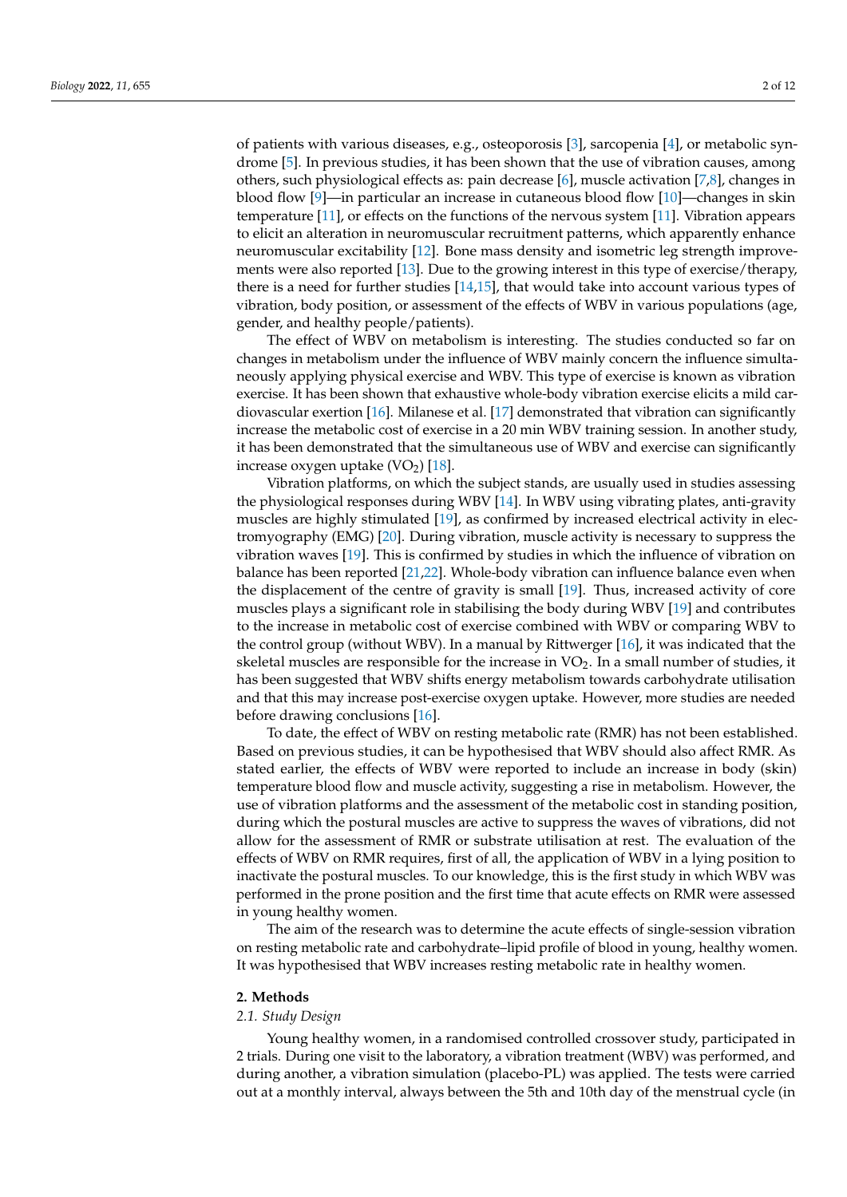of patients with various diseases, e.g., osteoporosis [\[3\]](#page-9-2), sarcopenia [\[4\]](#page-9-3), or metabolic syndrome [\[5\]](#page-9-4). In previous studies, it has been shown that the use of vibration causes, among others, such physiological effects as: pain decrease [\[6\]](#page-9-5), muscle activation [\[7,](#page-9-6)[8\]](#page-9-7), changes in blood flow [\[9\]](#page-9-8)—in particular an increase in cutaneous blood flow [\[10\]](#page-10-0)—changes in skin temperature [\[11\]](#page-10-1), or effects on the functions of the nervous system [\[11\]](#page-10-1). Vibration appears to elicit an alteration in neuromuscular recruitment patterns, which apparently enhance neuromuscular excitability [\[12\]](#page-10-2). Bone mass density and isometric leg strength improvements were also reported [\[13\]](#page-10-3). Due to the growing interest in this type of exercise/therapy, there is a need for further studies [\[14](#page-10-4)[,15\]](#page-10-5), that would take into account various types of vibration, body position, or assessment of the effects of WBV in various populations (age, gender, and healthy people/patients).

The effect of WBV on metabolism is interesting. The studies conducted so far on changes in metabolism under the influence of WBV mainly concern the influence simultaneously applying physical exercise and WBV. This type of exercise is known as vibration exercise. It has been shown that exhaustive whole-body vibration exercise elicits a mild cardiovascular exertion [\[16\]](#page-10-6). Milanese et al. [\[17\]](#page-10-7) demonstrated that vibration can significantly increase the metabolic cost of exercise in a 20 min WBV training session. In another study, it has been demonstrated that the simultaneous use of WBV and exercise can significantly increase oxygen uptake  $(VO<sub>2</sub>)$  [\[18\]](#page-10-8).

Vibration platforms, on which the subject stands, are usually used in studies assessing the physiological responses during WBV [\[14\]](#page-10-4). In WBV using vibrating plates, anti-gravity muscles are highly stimulated [\[19\]](#page-10-9), as confirmed by increased electrical activity in electromyography (EMG) [\[20\]](#page-10-10). During vibration, muscle activity is necessary to suppress the vibration waves [\[19\]](#page-10-9). This is confirmed by studies in which the influence of vibration on balance has been reported [\[21,](#page-10-11)[22\]](#page-10-12). Whole-body vibration can influence balance even when the displacement of the centre of gravity is small [\[19\]](#page-10-9). Thus, increased activity of core muscles plays a significant role in stabilising the body during WBV [\[19\]](#page-10-9) and contributes to the increase in metabolic cost of exercise combined with WBV or comparing WBV to the control group (without WBV). In a manual by Rittwerger [\[16\]](#page-10-6), it was indicated that the skeletal muscles are responsible for the increase in  $VO<sub>2</sub>$ . In a small number of studies, it has been suggested that WBV shifts energy metabolism towards carbohydrate utilisation and that this may increase post-exercise oxygen uptake. However, more studies are needed before drawing conclusions [\[16\]](#page-10-6).

To date, the effect of WBV on resting metabolic rate (RMR) has not been established. Based on previous studies, it can be hypothesised that WBV should also affect RMR. As stated earlier, the effects of WBV were reported to include an increase in body (skin) temperature blood flow and muscle activity, suggesting a rise in metabolism. However, the use of vibration platforms and the assessment of the metabolic cost in standing position, during which the postural muscles are active to suppress the waves of vibrations, did not allow for the assessment of RMR or substrate utilisation at rest. The evaluation of the effects of WBV on RMR requires, first of all, the application of WBV in a lying position to inactivate the postural muscles. To our knowledge, this is the first study in which WBV was performed in the prone position and the first time that acute effects on RMR were assessed in young healthy women.

The aim of the research was to determine the acute effects of single-session vibration on resting metabolic rate and carbohydrate–lipid profile of blood in young, healthy women. It was hypothesised that WBV increases resting metabolic rate in healthy women.

#### **2. Methods**

### *2.1. Study Design*

Young healthy women, in a randomised controlled crossover study, participated in 2 trials. During one visit to the laboratory, a vibration treatment (WBV) was performed, and during another, a vibration simulation (placebo-PL) was applied. The tests were carried out at a monthly interval, always between the 5th and 10th day of the menstrual cycle (in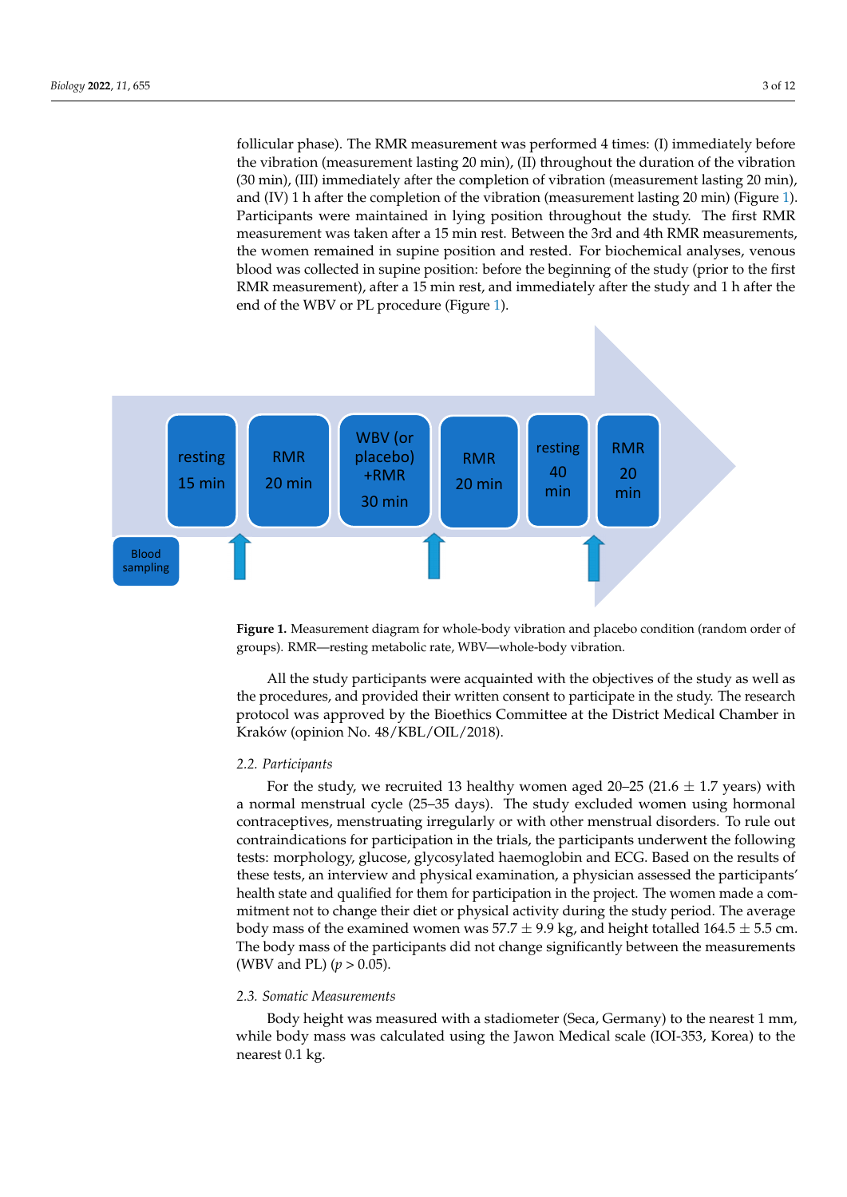follicular phase). The RMR measurement was performed 4 times: (I) immediately before the vibration (measurement lasting  $20 \text{ min}$ ), (II) throughout the duration of the vibration  $\frac{1}{2}$ the comment (measurement in supple to the completion of vibration (measurement lasting 20 min), (30 min), and remained in supplement and rested. For biochemical analyses, venters and rested. For biochemical analyses, vente and (IV) 1 h after the completion of the vibration (measurement lasting 20 min) (Figure [1\)](#page-2-0). Participants were maintained in lying position throughout the study. The first RMR measurement was taken after a 15 min rest. Between the 3rd and 4th RMR measurements, the women remained in supine position and rested. For biochemical analyses, venous blood was collected in supine position: before the beginning of the study (prior to the first RMR measurement), after a 15 min rest, and immediately after the study and 1 h after the end of the WBV or PL procedure (Figure [1\)](#page-2-0).

<span id="page-2-0"></span>

**Figure 1.** Measurement diagram for whole-body vibration and placebo condition (random order of **Figure 1.** Measurement diagram for whole-body vibration and placebo condition (random order of groups). RMR—resting metabolic rate, WBV—whole-body vibration. groups). RMR—resting metabolic rate, WBV—whole-body vibration.

*2.2. Participants*  All the study participants were acquainted with the objectives of the study as well as the procedures, and provided their written consent to participate in the study. The research protocol was approved by the Bioethics Committee at the District Medical Chamber in Kraków (opinion No. 48/KBL/OIL/2018).

#### $\mathbf{a}_1$  participation in the trials, the participants underwent the following tests: the following tests: the following tests: the following tests: the following tests: the following tests: the following tests: the foll  $\mathcal{L}$ . gluch and Equation and ECG. Based on the results of the results of the results of the results of these theorems of the results of the results of the results of the results of the results of the results of the re *2.2. Participants*

For the study, we recruited 13 healthy women aged 20–25 (21.6  $\pm$  1.7 years) with a normal menstrual cycle (25–35 days). The study excluded women using hormonal contraceptives, menstruating irregularly or with other menstrual disorders. To rule out contraindications for participation in the trials, the participants underwent the following tests: morphology, glucose, glycosylated haemoglobin and ECG. Based on the results of these tests, an interview and physical examination, a physician assessed the participants' health state and qualified for them for participation in the project. The women made a commitment not to change their diet or physical activity during the study period. The average body mass of the examined women was  $57.7 \pm 9.9$  kg, and height totalled  $164.5 \pm 5.5$  cm. The body mass of the participants did not change significantly between the measurements (WBV and PL) (*p* > 0.05).

#### *2.3. Somatic Measurements*

Body height was measured with a stadiometer (Seca, Germany) to the nearest 1 mm, while body mass was calculated using the Jawon Medical scale (IOI-353, Korea) to the nearest 0.1 kg.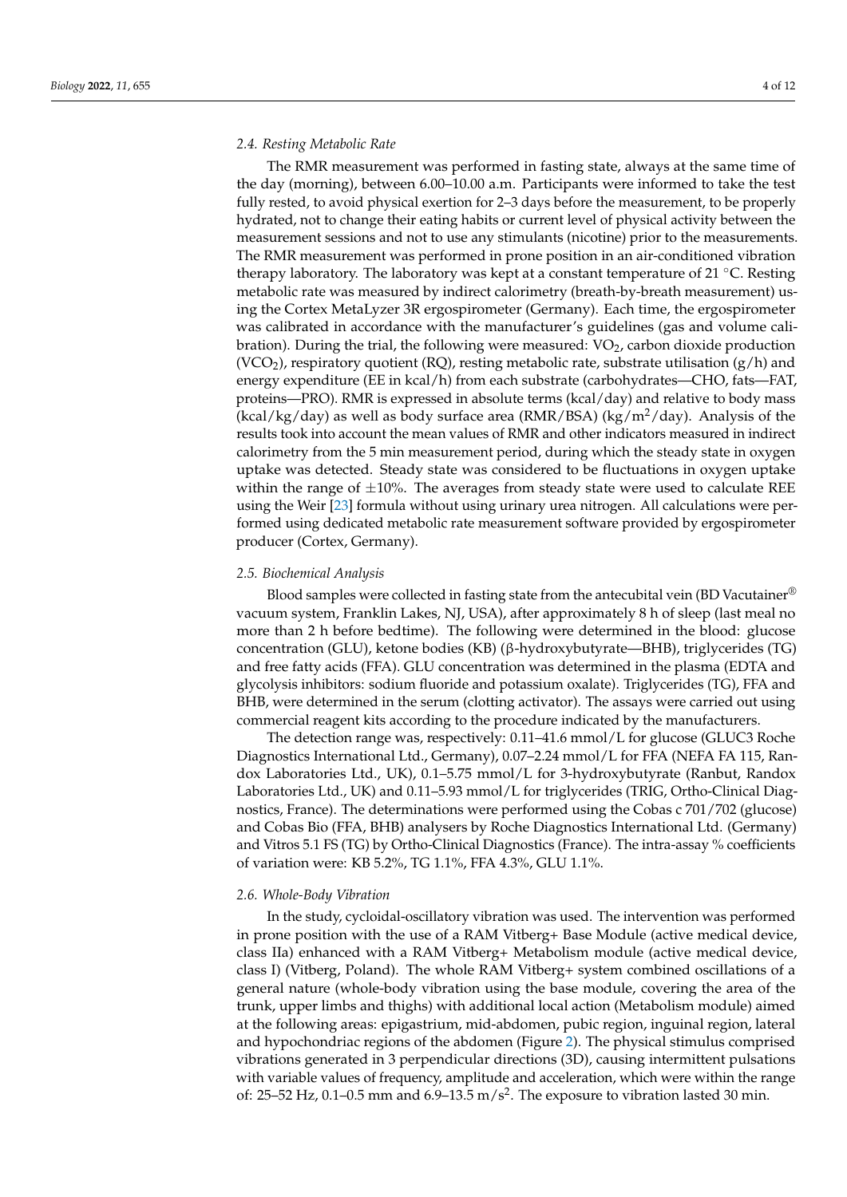#### *2.4. Resting Metabolic Rate*

The RMR measurement was performed in fasting state, always at the same time of the day (morning), between 6.00–10.00 a.m. Participants were informed to take the test fully rested, to avoid physical exertion for 2–3 days before the measurement, to be properly hydrated, not to change their eating habits or current level of physical activity between the measurement sessions and not to use any stimulants (nicotine) prior to the measurements. The RMR measurement was performed in prone position in an air-conditioned vibration therapy laboratory. The laboratory was kept at a constant temperature of 21  $°C$ . Resting metabolic rate was measured by indirect calorimetry (breath-by-breath measurement) using the Cortex MetaLyzer 3R ergospirometer (Germany). Each time, the ergospirometer was calibrated in accordance with the manufacturer's guidelines (gas and volume calibration). During the trial, the following were measured:  $VO<sub>2</sub>$ , carbon dioxide production  $(VCO<sub>2</sub>)$ , respiratory quotient (RQ), resting metabolic rate, substrate utilisation (g/h) and energy expenditure (EE in kcal/h) from each substrate (carbohydrates—CHO, fats—FAT, proteins—PRO). RMR is expressed in absolute terms (kcal/day) and relative to body mass (kcal/kg/day) as well as body surface area (RMR/BSA) (kg/m<sup>2</sup>/day). Analysis of the results took into account the mean values of RMR and other indicators measured in indirect calorimetry from the 5 min measurement period, during which the steady state in oxygen uptake was detected. Steady state was considered to be fluctuations in oxygen uptake within the range of  $\pm 10$ %. The averages from steady state were used to calculate REE using the Weir [\[23\]](#page-10-13) formula without using urinary urea nitrogen. All calculations were performed using dedicated metabolic rate measurement software provided by ergospirometer producer (Cortex, Germany).

#### *2.5. Biochemical Analysis*

Blood samples were collected in fasting state from the antecubital vein (BD Vacutainer $^{\circledR}$ vacuum system, Franklin Lakes, NJ, USA), after approximately 8 h of sleep (last meal no more than 2 h before bedtime). The following were determined in the blood: glucose concentration (GLU), ketone bodies (KB) (β-hydroxybutyrate—BHB), triglycerides (TG) and free fatty acids (FFA). GLU concentration was determined in the plasma (EDTA and glycolysis inhibitors: sodium fluoride and potassium oxalate). Triglycerides (TG), FFA and BHB, were determined in the serum (clotting activator). The assays were carried out using commercial reagent kits according to the procedure indicated by the manufacturers.

The detection range was, respectively: 0.11–41.6 mmol/L for glucose (GLUC3 Roche Diagnostics International Ltd., Germany), 0.07–2.24 mmol/L for FFA (NEFA FA 115, Randox Laboratories Ltd., UK), 0.1–5.75 mmol/L for 3-hydroxybutyrate (Ranbut, Randox Laboratories Ltd., UK) and 0.11–5.93 mmol/L for triglycerides (TRIG, Ortho-Clinical Diagnostics, France). The determinations were performed using the Cobas c 701/702 (glucose) and Cobas Bio (FFA, BHB) analysers by Roche Diagnostics International Ltd. (Germany) and Vitros 5.1 FS (TG) by Ortho-Clinical Diagnostics (France). The intra-assay % coefficients of variation were: KB 5.2%, TG 1.1%, FFA 4.3%, GLU 1.1%.

#### *2.6. Whole-Body Vibration*

In the study, cycloidal-oscillatory vibration was used. The intervention was performed in prone position with the use of a RAM Vitberg+ Base Module (active medical device, class IIa) enhanced with a RAM Vitberg+ Metabolism module (active medical device, class I) (Vitberg, Poland). The whole RAM Vitberg+ system combined oscillations of a general nature (whole-body vibration using the base module, covering the area of the trunk, upper limbs and thighs) with additional local action (Metabolism module) aimed at the following areas: epigastrium, mid-abdomen, pubic region, inguinal region, lateral and hypochondriac regions of the abdomen (Figure [2\)](#page-4-0). The physical stimulus comprised vibrations generated in 3 perpendicular directions (3D), causing intermittent pulsations with variable values of frequency, amplitude and acceleration, which were within the range of: 25–52 Hz, 0.1–0.5 mm and 6.9–13.5 m/s<sup>2</sup>. The exposure to vibration lasted 30 min.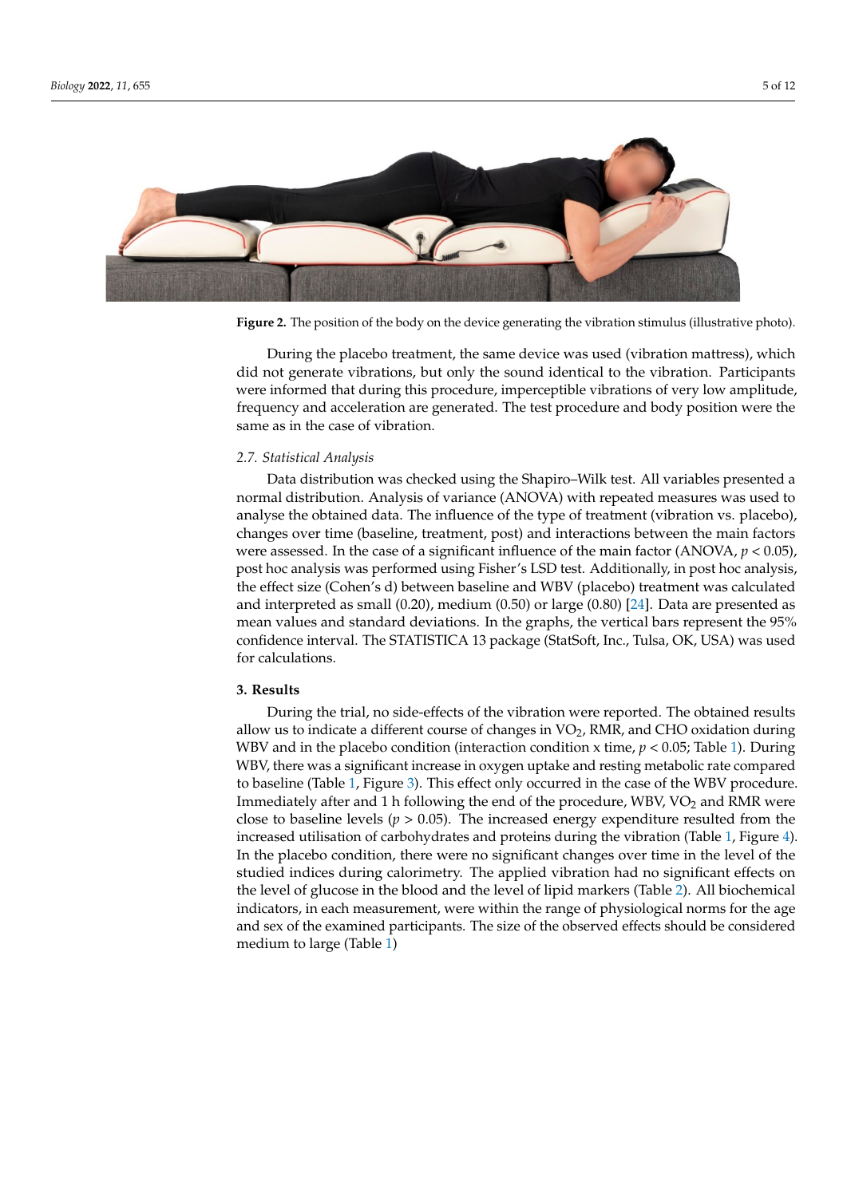<span id="page-4-0"></span>

**Figure 2.** The position of the body on the device generating the vibration stimulus (illustrative **Figure 2.** The position of the body on the device generating the vibration stimulus (illustrative photo).

did not generate vibrations, but only the sound identical to the vibration. Participants frequency and acceleration are generated. The test procedure and body position were the same as in the case of vibration.  $\overline{a}$ During the placebo treatment, the same device was used (vibration mattress), which were informed that during this procedure, imperceptible vibrations of very low amplitude,

# changes over time (baseline, treatment, post) and interactions between the main factors *2.7. Statistical Analysis*

Data distribution was checked using the Shapiro–Wilk test. All variables presented a normal distribution. Analysis of variance (ANOVA) with repeated measures was used to analyse the obtained data. The influence of the type of treatment (vibration vs. placebo), were assessed. In the case of a significant influence of the main factor  $(ANOVA, p < 0.05)$ , post hoc analysis was performed using Fisher's LSD test. Additionally, in post hoc analysis, the effect size (Cohen's d) between baseline and WBV (placebo) treatment was calculated and interpreted as small (0.20), medium (0.50) or large (0.80) [\[24\]](#page-10-14). Data are presented as **3. Results**  confidence interval. The STATISTICA 13 package (StatSoft, Inc., Tulsa, OK, USA) was used During the trial, no side-effects of the vibration were reported. The vibration were reported. The obtained results of the obtained reported. The obtained results of the obtained results of the obtained results of the obta changes over time (baseline, treatment, post) and interactions between the main factors mean values and standard deviations. In the graphs, the vertical bars represent the 95% for calculations.

#### $a$ . Results **3. Results**

During the trial, no side-effects of the vibration were reported. The obtained results allow us to indicate a different course of changes in VO<sub>2</sub>, RMR, and CHO oxidation during WBV and in the placebo condition (interaction condition x time,  $p < 0.05$ ; Table 1). During WBV, there was a significant increase in oxygen uptake and resting metabolic rate compared t[o b](#page-5-0)aselin[e](#page-5-1) (Table 1, Figure 3). This effect only occurred in the case of the WBV procedure. Immediately after and 1 h following the end of the procedure, WBV, VO<sub>2</sub> and RMR were close to baseline levels ( $p > 0.05$ ). The increased energy expenditure resulted from the In the placebo condition, there were no significant changes over time in the level of the effects of glucose community, there were no eigenvalued and goes over the level of the level of the state state of the studied indices during calorimetry. The applied vibration had no significant effects on the level of glucose in the blood and the level of lipid markers (Table [2\)](#page-6-1). All biochemical increased utilisation of carbohydrates and proteins during the vibration (Table [1,](#page-5-0) Figure [4\)](#page-6-0). indicators, in each measurement, were within the range of physiological norms for the age and sex of the examined participants. The size of the observed effects should be considered medium to large (Table [1\)](#page-5-0)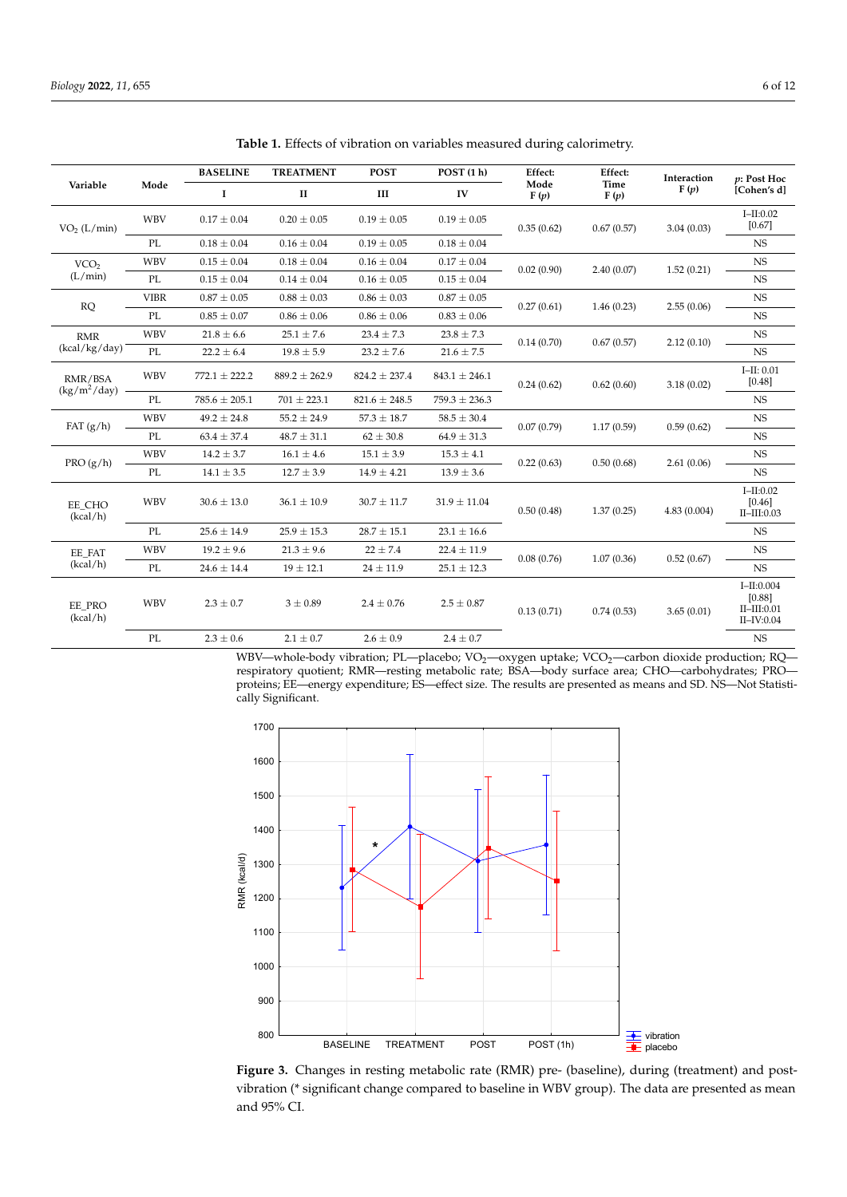| Variable                    | Mode        | <b>BASELINE</b>   | <b>TREATMENT</b>  | <b>POST</b>       | POST(1 h)         | Effect:      | Effect:<br>Time<br>F(p) | Interaction<br>F(p) | p: Post Hoc<br>[Cohen's d]                                    |
|-----------------------------|-------------|-------------------|-------------------|-------------------|-------------------|--------------|-------------------------|---------------------|---------------------------------------------------------------|
|                             |             | $\mathbf I$       | $\mathbf{I}$      | Ш                 | IV                | Mode<br>F(p) |                         |                     |                                                               |
| VO <sub>2</sub> (L/min)     | <b>WBV</b>  | $0.17 \pm 0.04$   | $0.20 \pm 0.05$   | $0.19 \pm 0.05$   | $0.19 \pm 0.05$   | 0.35(0.62)   | 0.67(0.57)              | 3.04(0.03)          | $I-II:0.02$<br>$[0.67]$                                       |
|                             | PL          | $0.18 \pm 0.04$   | $0.16 \pm 0.04$   | $0.19 \pm 0.05$   | $0.18 \pm 0.04$   |              |                         |                     | <b>NS</b>                                                     |
| VCO <sub>2</sub><br>(L/min) | <b>WBV</b>  | $0.15 \pm 0.04$   | $0.18 \pm 0.04$   | $0.16 \pm 0.04$   | $0.17 \pm 0.04$   | 0.02(0.90)   | 2.40(0.07)              | 1.52(0.21)          | <b>NS</b>                                                     |
|                             | PL          | $0.15 \pm 0.04$   | $0.14 \pm 0.04$   | $0.16 \pm 0.05$   | $0.15 \pm 0.04$   |              |                         |                     | NS                                                            |
| RQ                          | <b>VIBR</b> | $0.87 \pm 0.05$   | $0.88 \pm 0.03$   | $0.86 \pm 0.03$   | $0.87 \pm 0.05$   | 0.27(0.61)   | 1.46(0.23)              | 2.55(0.06)          | $_{\rm NS}$                                                   |
|                             | PL          | $0.85 \pm 0.07$   | $0.86 \pm 0.06$   | $0.86 \pm 0.06$   | $0.83 \pm 0.06$   |              |                         |                     | <b>NS</b>                                                     |
| <b>RMR</b><br>(kcal/kg/day) | <b>WBV</b>  | $21.8 \pm 6.6$    | $25.1 \pm 7.6$    | $23.4 \pm 7.3$    | $23.8 \pm 7.3$    | 0.14(0.70)   | 0.67(0.57)              | 2.12(0.10)          | <b>NS</b>                                                     |
|                             | PL          | $22.2 \pm 6.4$    | $19.8 \pm 5.9$    | $23.2 \pm 7.6$    | $21.6 \pm 7.5$    |              |                         |                     | NS                                                            |
| RMR/BSA<br>$(kg/m^2/day)$   | <b>WBV</b>  | $772.1 \pm 222.2$ | $889.2 \pm 262.9$ | $824.2 \pm 237.4$ | $843.1 \pm 246.1$ | 0.24(0.62)   | 0.62(0.60)              | 3.18(0.02)          | $I-II: 0.01$<br>[0.48]                                        |
|                             | PL          | $785.6 \pm 205.1$ | $701 \pm 223.1$   | $821.6 \pm 248.5$ | $759.3 \pm 236.3$ |              |                         |                     | NS                                                            |
| FAT $(g/h)$                 | <b>WBV</b>  | $49.2 \pm 24.8$   | $55.2 \pm 24.9$   | $57.3 \pm 18.7$   | $58.5 \pm 30.4$   | 0.07(0.79)   | 1.17(0.59)              | 0.59(0.62)          | <b>NS</b>                                                     |
|                             | PL          | $63.4 \pm 37.4$   | $48.7 \pm 31.1$   | $62 \pm 30.8$     | $64.9 \pm 31.3$   |              |                         |                     | NS                                                            |
| PRO(g/h)                    | <b>WBV</b>  | $14.2 \pm 3.7$    | $16.1 \pm 4.6$    | $15.1 \pm 3.9$    | $15.3 \pm 4.1$    | 0.22(0.63)   | 0.50(0.68)              | 2.61(0.06)          | <b>NS</b>                                                     |
|                             | PL          | $14.1 \pm 3.5$    | $12.7 \pm 3.9$    | $14.9 \pm 4.21$   | $13.9 \pm 3.6$    |              |                         |                     | NS                                                            |
| EE CHO<br>(kcal/h)          | <b>WBV</b>  | $30.6 \pm 13.0$   | $36.1 \pm 10.9$   | $30.7 \pm 11.7$   | $31.9 \pm 11.04$  | 0.50(0.48)   | 1.37(0.25)              | 4.83(0.004)         | $I-II:0.02$<br>[0.46]<br>$II$ - $III$ :0.03                   |
|                             | PL          | $25.6 \pm 14.9$   | $25.9 \pm 15.3$   | $28.7 \pm 15.1$   | $23.1 \pm 16.6$   |              |                         |                     | <b>NS</b>                                                     |
| EE FAT<br>(kcal/h)          | <b>WBV</b>  | $19.2 \pm 9.6$    | $21.3 \pm 9.6$    | $22 \pm 7.4$      | $22.4 \pm 11.9$   | 0.08(0.76)   | 1.07(0.36)              | 0.52(0.67)          | <b>NS</b>                                                     |
|                             | PL          | $24.6 \pm 14.4$   | $19 \pm 12.1$     | $24 \pm 11.9$     | $25.1 \pm 12.3$   |              |                         |                     | NS                                                            |
| EE PRO<br>(kcal/h)          | <b>WBV</b>  | $2.3 \pm 0.7$     | $3 \pm 0.89$      | $2.4 \pm 0.76$    | $2.5 \pm 0.87$    | 0.13(0.71)   | 0.74(0.53)              | 3.65(0.01)          | $I-II:0.004$<br>[0.88]<br>$II$ - $III$ :0.01<br>$II$ -IV:0.04 |
|                             | PL          | $2.3 \pm 0.6$     | $2.1 \pm 0.7$     | $2.6 \pm 0.9$     | $2.4 \pm 0.7$     |              |                         |                     | <b>NS</b>                                                     |

<span id="page-5-0"></span>**Table 1.** Effects of vibration on variables measured during calorimetry.

WBV—whole-body vibration; PL—placebo; VO<sub>2</sub>—oxygen uptake; VCO<sub>2</sub>—carbon dioxide production; RQ respiratory quotient; RMR—resting metabolic rate; BSA—body surface area; CHO—carbohydrates; PRO proteins; EE—energy expenditure; ES—effect size. The results are presented as means and SD. NS—Not Statistically Significant.

<span id="page-5-1"></span>

**Figure 3.** Changes in resting metabolic rate (RMR) pre- (baseline), during (treatment) and postvibration (\* significant change compared to baseline in WBV group). The data are presented as mean and 95% CI. and 95% CI.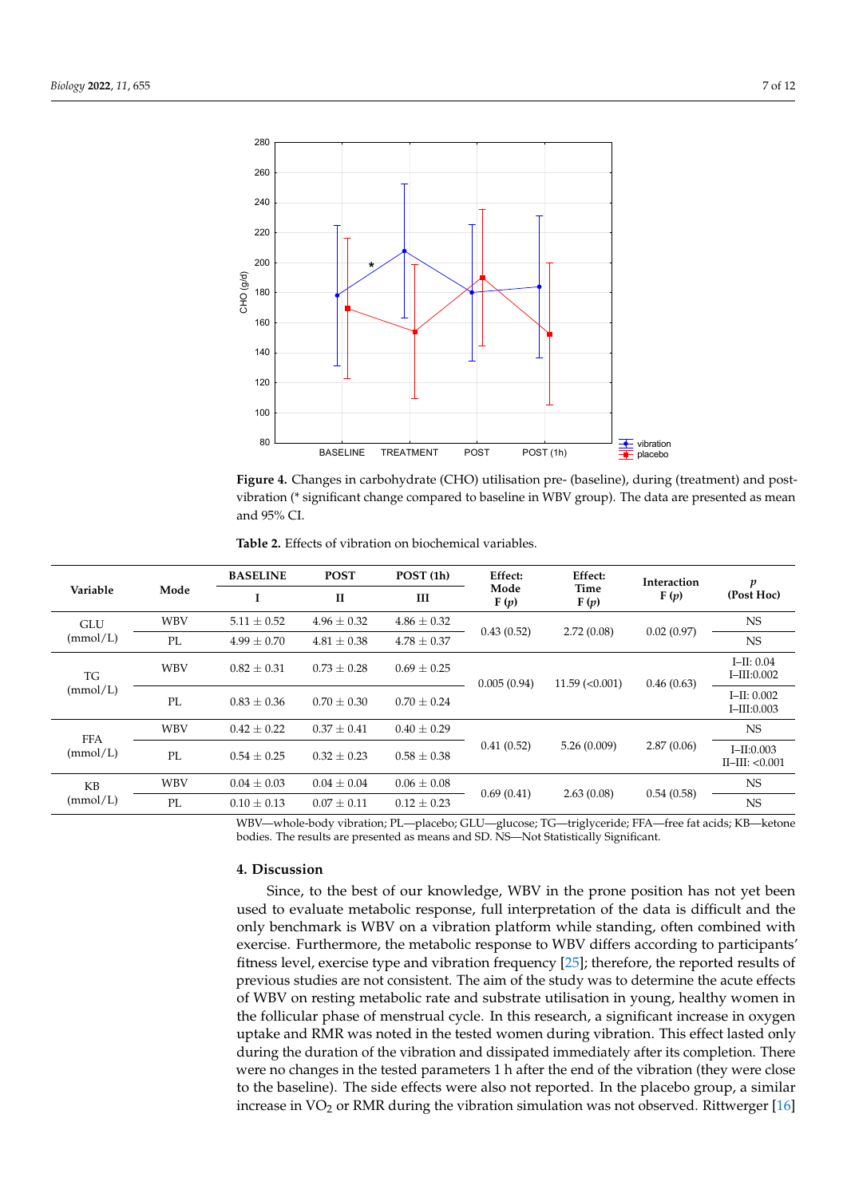<span id="page-6-0"></span>

bration (\* significant change compared to baseline in WBV group). The data are presented as mean

**Figure 4.** Changes in carbohydrate (CHO) utilisation pre- (baseline), during (treatment) and postvibration (\* significant change compared to baseline in WBV group). The data are presented as mean and 95% CI.

<span id="page-6-1"></span>

| <b>Table 2.</b> Effects of vibration on biochemical variables. |
|----------------------------------------------------------------|
|----------------------------------------------------------------|

| Variable               | Mode       | <b>BASELINE</b> | <b>POST</b>     | POST(1h)        | Effect:      | Effect:<br>Time<br>F(p) | Interaction<br>F(p) | p<br>(Post Hoc)                         |
|------------------------|------------|-----------------|-----------------|-----------------|--------------|-------------------------|---------------------|-----------------------------------------|
|                        |            | ш               | $\mathbf{I}$    | III             | Mode<br>F(p) |                         |                     |                                         |
| <b>GLU</b><br>(mmol/L) | <b>WBV</b> | $5.11 \pm 0.52$ | $4.96 \pm 0.32$ | $4.86 \pm 0.32$ | 0.43(0.52)   | 2.72(0.08)              | 0.02(0.97)          | NS.                                     |
|                        | PL         | $4.99 \pm 0.70$ | $4.81 \pm 0.38$ | $4.78 \pm 0.37$ |              |                         |                     | <b>NS</b>                               |
| <b>TG</b><br>(mmol/L)  | <b>WBV</b> | $0.82 \pm 0.31$ | $0.73 \pm 0.28$ | $0.69 \pm 0.25$ | 0.005(0.94)  | $11.59$ (< $0.001$ )    | 0.46(0.63)          | $I-H: 0.04$<br>$I$ -III:0.002           |
|                        | PL         | $0.83 \pm 0.36$ | $0.70 \pm 0.30$ | $0.70 \pm 0.24$ |              |                         |                     | $I-H: 0.002$<br>$I$ -III:0.003          |
| <b>FFA</b><br>(mmol/L) | <b>WBV</b> | $0.42 \pm 0.22$ | $0.37 \pm 0.41$ | $0.40 \pm 0.29$ |              | 5.26(0.009)             | 2.87(0.06)          | NS.                                     |
|                        | PL         | $0.54 \pm 0.25$ | $0.32 \pm 0.23$ | $0.58 \pm 0.38$ | 0.41(0.52)   |                         |                     | $I - II: 0.003$<br>$II$ -III: < $0.001$ |
| <b>KB</b><br>(mmol/L)  | <b>WBV</b> | $0.04 \pm 0.03$ | $0.04 \pm 0.04$ | $0.06 \pm 0.08$ | 0.69(0.41)   | 2.63(0.08)              | 0.54(0.58)          | NS.                                     |
|                        | PL         | $0.10 \pm 0.13$ | $0.07 \pm 0.11$ | $0.12 \pm 0.23$ |              |                         |                     | <b>NS</b>                               |

WBV—whole-body vibration; PL—placebo; GLU—glucose; TG—triglyceride; FFA—free fat acids; KB—ketone bodies. The results are presented as means and SD. NS—Not Statistically Significant.

#### **4. Discussion**

Since, to the best of our knowledge, WBV in the prone position has not yet been used to evaluate metabolic response, full interpretation of the data is difficult and the only benchmark is WBV on a vibration platform while standing, often combined with exercise. Furthermore, the metabolic response to WBV differs according to participants' fitness level, exercise type and vibration frequency [\[25\]](#page-10-15); therefore, the reported results of previous studies are not consistent. The aim of the study was to determine the acute effects of WBV on resting metabolic rate and substrate utilisation in young, healthy women in the follicular phase of menstrual cycle. In this research, a significant increase in oxygen uptake and RMR was noted in the tested women during vibration. This effect lasted only during the duration of the vibration and dissipated immediately after its completion. There were no changes in the tested parameters 1 h after the end of the vibration (they were close to the baseline). The side effects were also not reported. In the placebo group, a similar increase in  $VO<sub>2</sub>$  or RMR during the vibration simulation was not observed. Rittwerger [\[16\]](#page-10-6)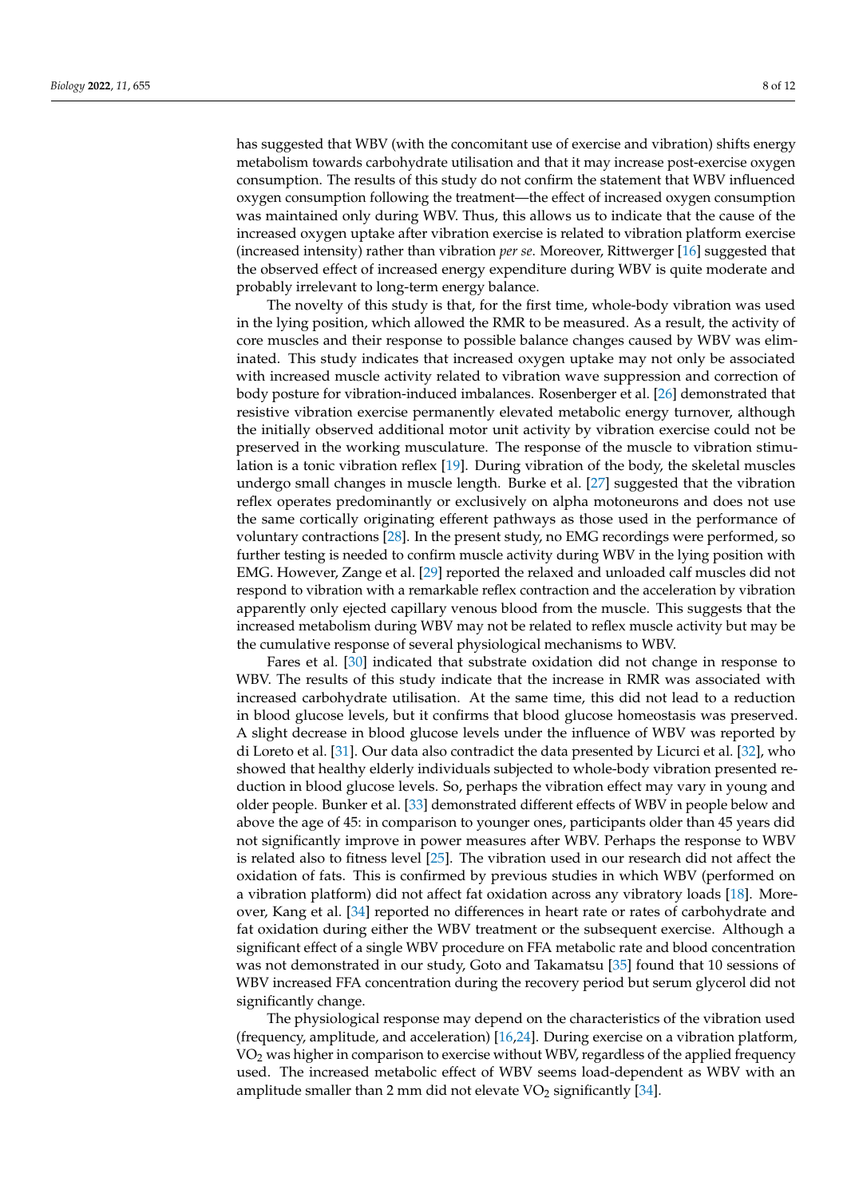has suggested that WBV (with the concomitant use of exercise and vibration) shifts energy metabolism towards carbohydrate utilisation and that it may increase post-exercise oxygen consumption. The results of this study do not confirm the statement that WBV influenced oxygen consumption following the treatment—the effect of increased oxygen consumption was maintained only during WBV. Thus, this allows us to indicate that the cause of the increased oxygen uptake after vibration exercise is related to vibration platform exercise (increased intensity) rather than vibration *per se*. Moreover, Rittwerger [\[16\]](#page-10-6) suggested that the observed effect of increased energy expenditure during WBV is quite moderate and probably irrelevant to long-term energy balance.

The novelty of this study is that, for the first time, whole-body vibration was used in the lying position, which allowed the RMR to be measured. As a result, the activity of core muscles and their response to possible balance changes caused by WBV was eliminated. This study indicates that increased oxygen uptake may not only be associated with increased muscle activity related to vibration wave suppression and correction of body posture for vibration-induced imbalances. Rosenberger et al. [\[26\]](#page-10-16) demonstrated that resistive vibration exercise permanently elevated metabolic energy turnover, although the initially observed additional motor unit activity by vibration exercise could not be preserved in the working musculature. The response of the muscle to vibration stimulation is a tonic vibration reflex [\[19\]](#page-10-9). During vibration of the body, the skeletal muscles undergo small changes in muscle length. Burke et al. [\[27\]](#page-10-17) suggested that the vibration reflex operates predominantly or exclusively on alpha motoneurons and does not use the same cortically originating efferent pathways as those used in the performance of voluntary contractions [\[28\]](#page-10-18). In the present study, no EMG recordings were performed, so further testing is needed to confirm muscle activity during WBV in the lying position with EMG. However, Zange et al. [\[29\]](#page-10-19) reported the relaxed and unloaded calf muscles did not respond to vibration with a remarkable reflex contraction and the acceleration by vibration apparently only ejected capillary venous blood from the muscle. This suggests that the increased metabolism during WBV may not be related to reflex muscle activity but may be the cumulative response of several physiological mechanisms to WBV.

Fares et al. [\[30\]](#page-10-20) indicated that substrate oxidation did not change in response to WBV. The results of this study indicate that the increase in RMR was associated with increased carbohydrate utilisation. At the same time, this did not lead to a reduction in blood glucose levels, but it confirms that blood glucose homeostasis was preserved. A slight decrease in blood glucose levels under the influence of WBV was reported by di Loreto et al. [\[31\]](#page-10-21). Our data also contradict the data presented by Licurci et al. [\[32\]](#page-10-22), who showed that healthy elderly individuals subjected to whole-body vibration presented reduction in blood glucose levels. So, perhaps the vibration effect may vary in young and older people. Bunker et al. [\[33\]](#page-10-23) demonstrated different effects of WBV in people below and above the age of 45: in comparison to younger ones, participants older than 45 years did not significantly improve in power measures after WBV. Perhaps the response to WBV is related also to fitness level [\[25\]](#page-10-15). The vibration used in our research did not affect the oxidation of fats. This is confirmed by previous studies in which WBV (performed on a vibration platform) did not affect fat oxidation across any vibratory loads [\[18\]](#page-10-8). Moreover, Kang et al. [\[34\]](#page-10-24) reported no differences in heart rate or rates of carbohydrate and fat oxidation during either the WBV treatment or the subsequent exercise. Although a significant effect of a single WBV procedure on FFA metabolic rate and blood concentration was not demonstrated in our study, Goto and Takamatsu [\[35\]](#page-10-25) found that 10 sessions of WBV increased FFA concentration during the recovery period but serum glycerol did not significantly change.

The physiological response may depend on the characteristics of the vibration used (frequency, amplitude, and acceleration) [\[16,](#page-10-6)[24\]](#page-10-14). During exercise on a vibration platform,  $VO<sub>2</sub>$  was higher in comparison to exercise without WBV, regardless of the applied frequency used. The increased metabolic effect of WBV seems load-dependent as WBV with an amplitude smaller than 2 mm did not elevate  $VO<sub>2</sub>$  significantly [\[34\]](#page-10-24).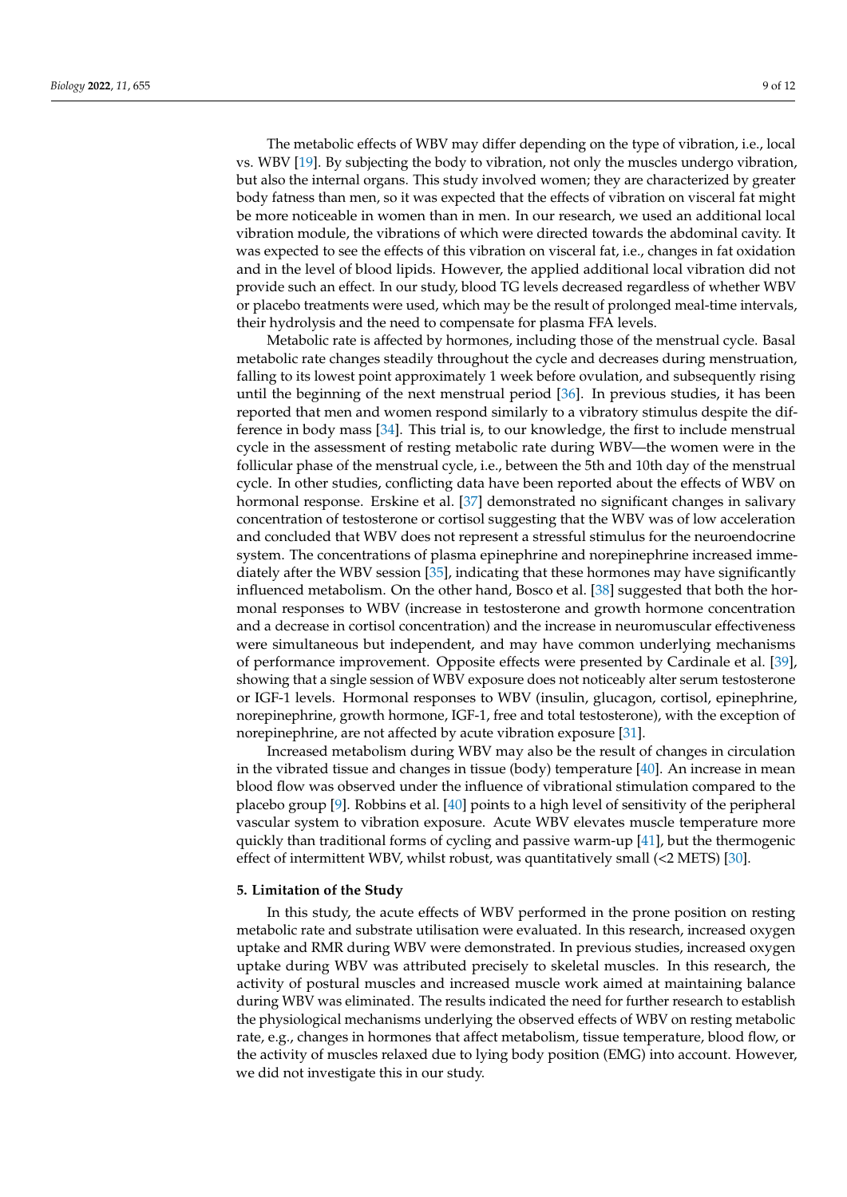The metabolic effects of WBV may differ depending on the type of vibration, i.e., local vs. WBV [\[19\]](#page-10-9). By subjecting the body to vibration, not only the muscles undergo vibration, but also the internal organs. This study involved women; they are characterized by greater body fatness than men, so it was expected that the effects of vibration on visceral fat might be more noticeable in women than in men. In our research, we used an additional local vibration module, the vibrations of which were directed towards the abdominal cavity. It was expected to see the effects of this vibration on visceral fat, i.e., changes in fat oxidation and in the level of blood lipids. However, the applied additional local vibration did not provide such an effect. In our study, blood TG levels decreased regardless of whether WBV or placebo treatments were used, which may be the result of prolonged meal-time intervals, their hydrolysis and the need to compensate for plasma FFA levels.

Metabolic rate is affected by hormones, including those of the menstrual cycle. Basal metabolic rate changes steadily throughout the cycle and decreases during menstruation, falling to its lowest point approximately 1 week before ovulation, and subsequently rising until the beginning of the next menstrual period [\[36\]](#page-11-0). In previous studies, it has been reported that men and women respond similarly to a vibratory stimulus despite the difference in body mass [\[34\]](#page-10-24). This trial is, to our knowledge, the first to include menstrual cycle in the assessment of resting metabolic rate during WBV—the women were in the follicular phase of the menstrual cycle, i.e., between the 5th and 10th day of the menstrual cycle. In other studies, conflicting data have been reported about the effects of WBV on hormonal response. Erskine et al. [\[37\]](#page-11-1) demonstrated no significant changes in salivary concentration of testosterone or cortisol suggesting that the WBV was of low acceleration and concluded that WBV does not represent a stressful stimulus for the neuroendocrine system. The concentrations of plasma epinephrine and norepinephrine increased immediately after the WBV session [\[35\]](#page-10-25), indicating that these hormones may have significantly influenced metabolism. On the other hand, Bosco et al. [\[38\]](#page-11-2) suggested that both the hormonal responses to WBV (increase in testosterone and growth hormone concentration and a decrease in cortisol concentration) and the increase in neuromuscular effectiveness were simultaneous but independent, and may have common underlying mechanisms of performance improvement. Opposite effects were presented by Cardinale et al. [\[39\]](#page-11-3), showing that a single session of WBV exposure does not noticeably alter serum testosterone or IGF-1 levels. Hormonal responses to WBV (insulin, glucagon, cortisol, epinephrine, norepinephrine, growth hormone, IGF-1, free and total testosterone), with the exception of norepinephrine, are not affected by acute vibration exposure [\[31\]](#page-10-21).

Increased metabolism during WBV may also be the result of changes in circulation in the vibrated tissue and changes in tissue (body) temperature [\[40\]](#page-11-4). An increase in mean blood flow was observed under the influence of vibrational stimulation compared to the placebo group [\[9\]](#page-9-8). Robbins et al. [\[40\]](#page-11-4) points to a high level of sensitivity of the peripheral vascular system to vibration exposure. Acute WBV elevates muscle temperature more quickly than traditional forms of cycling and passive warm-up [\[41\]](#page-11-5), but the thermogenic effect of intermittent WBV, whilst robust, was quantitatively small (<2 METS) [\[30\]](#page-10-20).

#### **5. Limitation of the Study**

In this study, the acute effects of WBV performed in the prone position on resting metabolic rate and substrate utilisation were evaluated. In this research, increased oxygen uptake and RMR during WBV were demonstrated. In previous studies, increased oxygen uptake during WBV was attributed precisely to skeletal muscles. In this research, the activity of postural muscles and increased muscle work aimed at maintaining balance during WBV was eliminated. The results indicated the need for further research to establish the physiological mechanisms underlying the observed effects of WBV on resting metabolic rate, e.g., changes in hormones that affect metabolism, tissue temperature, blood flow, or the activity of muscles relaxed due to lying body position (EMG) into account. However, we did not investigate this in our study.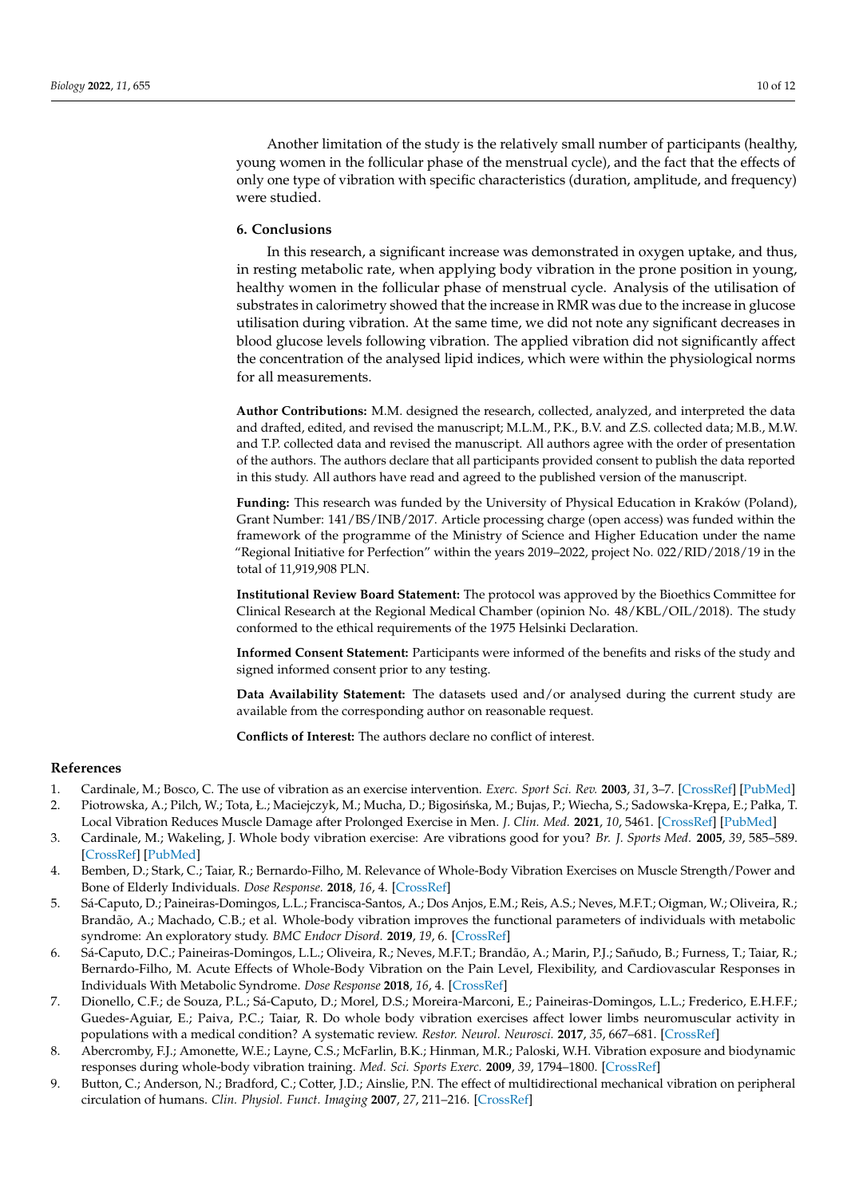Another limitation of the study is the relatively small number of participants (healthy, young women in the follicular phase of the menstrual cycle), and the fact that the effects of only one type of vibration with specific characteristics (duration, amplitude, and frequency) were studied.

#### **6. Conclusions**

In this research, a significant increase was demonstrated in oxygen uptake, and thus, in resting metabolic rate, when applying body vibration in the prone position in young, healthy women in the follicular phase of menstrual cycle. Analysis of the utilisation of substrates in calorimetry showed that the increase in RMR was due to the increase in glucose utilisation during vibration. At the same time, we did not note any significant decreases in blood glucose levels following vibration. The applied vibration did not significantly affect the concentration of the analysed lipid indices, which were within the physiological norms for all measurements.

**Author Contributions:** M.M. designed the research, collected, analyzed, and interpreted the data and drafted, edited, and revised the manuscript; M.L.M., P.K., B.V. and Z.S. collected data; M.B., M.W. and T.P. collected data and revised the manuscript. All authors agree with the order of presentation of the authors. The authors declare that all participants provided consent to publish the data reported in this study. All authors have read and agreed to the published version of the manuscript.

**Funding:** This research was funded by the University of Physical Education in Kraków (Poland), Grant Number: 141/BS/INB/2017. Article processing charge (open access) was funded within the framework of the programme of the Ministry of Science and Higher Education under the name "Regional Initiative for Perfection" within the years 2019–2022, project No. 022/RID/2018/19 in the total of 11,919,908 PLN.

**Institutional Review Board Statement:** The protocol was approved by the Bioethics Committee for Clinical Research at the Regional Medical Chamber (opinion No. 48/KBL/OIL/2018). The study conformed to the ethical requirements of the 1975 Helsinki Declaration.

**Informed Consent Statement:** Participants were informed of the benefits and risks of the study and signed informed consent prior to any testing.

**Data Availability Statement:** The datasets used and/or analysed during the current study are available from the corresponding author on reasonable request.

**Conflicts of Interest:** The authors declare no conflict of interest.

#### **References**

- <span id="page-9-0"></span>1. Cardinale, M.; Bosco, C. The use of vibration as an exercise intervention. *Exerc. Sport Sci. Rev.* **2003**, *31*, 3–7. [\[CrossRef\]](http://doi.org/10.1097/00003677-200301000-00002) [\[PubMed\]](http://www.ncbi.nlm.nih.gov/pubmed/12562163)
- <span id="page-9-1"></span>2. Piotrowska, A.; Pilch, W.; Tota, Ł.; Maciejczyk, M.; Mucha, D.; Bigosińska, M.; Bujas, P.; Wiecha, S.; Sadowska-Krępa, E.; Pałka, T. Local Vibration Reduces Muscle Damage after Prolonged Exercise in Men. *J. Clin. Med.* **2021**, *10*, 5461. [\[CrossRef\]](http://doi.org/10.3390/jcm10225461) [\[PubMed\]](http://www.ncbi.nlm.nih.gov/pubmed/34830744)
- <span id="page-9-2"></span>3. Cardinale, M.; Wakeling, J. Whole body vibration exercise: Are vibrations good for you? *Br. J. Sports Med.* **2005**, *39*, 585–589. [\[CrossRef\]](http://doi.org/10.1136/bjsm.2005.016857) [\[PubMed\]](http://www.ncbi.nlm.nih.gov/pubmed/16118292)
- <span id="page-9-3"></span>4. Bemben, D.; Stark, C.; Taiar, R.; Bernardo-Filho, M. Relevance of Whole-Body Vibration Exercises on Muscle Strength/Power and Bone of Elderly Individuals. *Dose Response.* **2018**, *16*, 4. [\[CrossRef\]](http://doi.org/10.1177/1559325818813066)
- <span id="page-9-4"></span>5. Sá-Caputo, D.; Paineiras-Domingos, L.L.; Francisca-Santos, A.; Dos Anjos, E.M.; Reis, A.S.; Neves, M.F.T.; Oigman, W.; Oliveira, R.; Brandão, A.; Machado, C.B.; et al. Whole-body vibration improves the functional parameters of individuals with metabolic syndrome: An exploratory study. *BMC Endocr Disord.* **2019**, *19*, 6. [\[CrossRef\]](http://doi.org/10.1186/s12902-018-0329-0)
- <span id="page-9-5"></span>6. Sá-Caputo, D.C.; Paineiras-Domingos, L.L.; Oliveira, R.; Neves, M.F.T.; Brandão, A.; Marin, P.J.; Sañudo, B.; Furness, T.; Taiar, R.; Bernardo-Filho, M. Acute Effects of Whole-Body Vibration on the Pain Level, Flexibility, and Cardiovascular Responses in Individuals With Metabolic Syndrome. *Dose Response* **2018**, *16*, 4. [\[CrossRef\]](http://doi.org/10.1177/1559325818802139)
- <span id="page-9-6"></span>7. Dionello, C.F.; de Souza, P.L.; Sá-Caputo, D.; Morel, D.S.; Moreira-Marconi, E.; Paineiras-Domingos, L.L.; Frederico, E.H.F.F.; Guedes-Aguiar, E.; Paiva, P.C.; Taiar, R. Do whole body vibration exercises affect lower limbs neuromuscular activity in populations with a medical condition? A systematic review. *Restor. Neurol. Neurosci.* **2017**, *35*, 667–681. [\[CrossRef\]](http://doi.org/10.3233/RNN-170765)
- <span id="page-9-7"></span>8. Abercromby, F.J.; Amonette, W.E.; Layne, C.S.; McFarlin, B.K.; Hinman, M.R.; Paloski, W.H. Vibration exposure and biodynamic responses during whole-body vibration training. *Med. Sci. Sports Exerc.* **2009**, *39*, 1794–1800. [\[CrossRef\]](http://doi.org/10.1249/mss.0b013e3181238a0f)
- <span id="page-9-8"></span>9. Button, C.; Anderson, N.; Bradford, C.; Cotter, J.D.; Ainslie, P.N. The effect of multidirectional mechanical vibration on peripheral circulation of humans. *Clin. Physiol. Funct. Imaging* **2007**, *27*, 211–216. [\[CrossRef\]](http://doi.org/10.1111/j.1475-097X.2007.00739.x)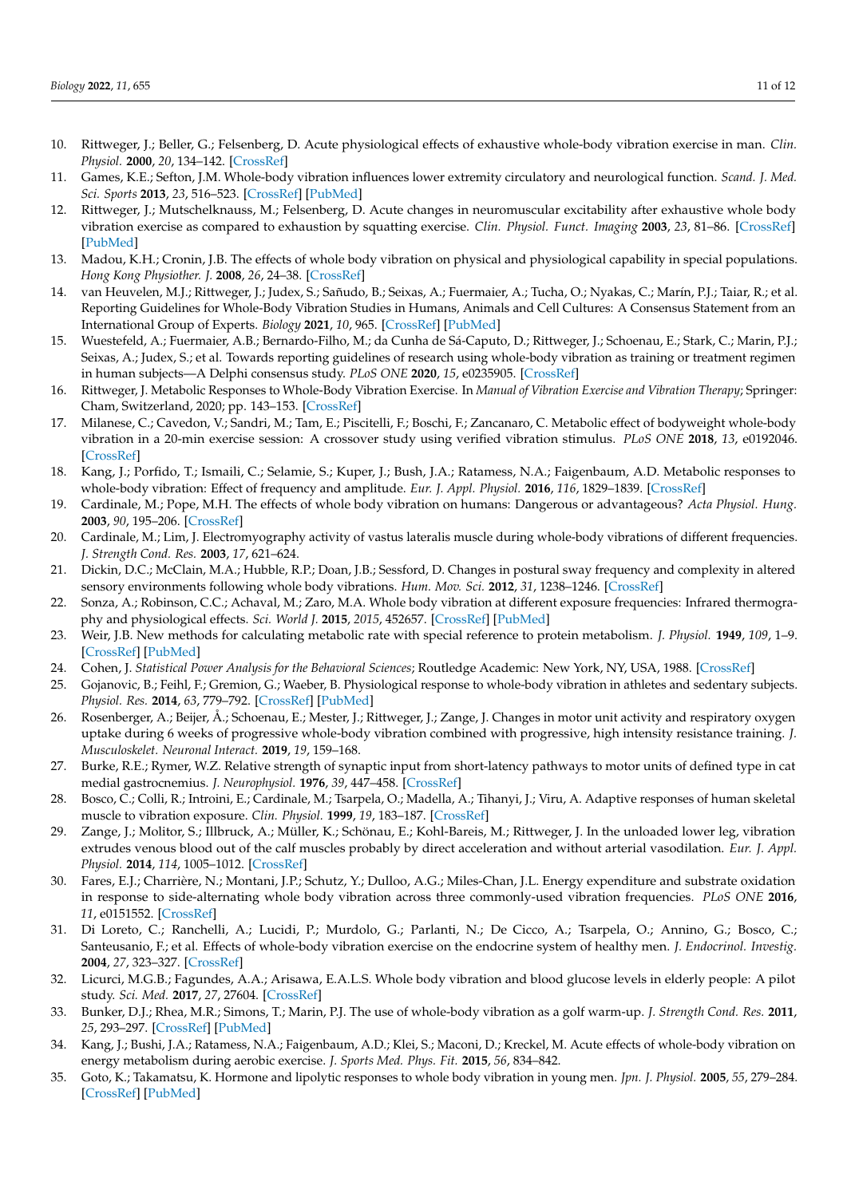- <span id="page-10-0"></span>10. Rittweger, J.; Beller, G.; Felsenberg, D. Acute physiological effects of exhaustive whole-body vibration exercise in man. *Clin. Physiol.* **2000**, *20*, 134–142. [\[CrossRef\]](http://doi.org/10.1046/j.1365-2281.2000.00238.x)
- <span id="page-10-1"></span>11. Games, K.E.; Sefton, J.M. Whole-body vibration influences lower extremity circulatory and neurological function. *Scand. J. Med. Sci. Sports* **2013**, *23*, 516–523. [\[CrossRef\]](http://doi.org/10.1111/j.1600-0838.2011.01419.x) [\[PubMed\]](http://www.ncbi.nlm.nih.gov/pubmed/22107331)
- <span id="page-10-2"></span>12. Rittweger, J.; Mutschelknauss, M.; Felsenberg, D. Acute changes in neuromuscular excitability after exhaustive whole body vibration exercise as compared to exhaustion by squatting exercise. *Clin. Physiol. Funct. Imaging* **2003**, *23*, 81–86. [\[CrossRef\]](http://doi.org/10.1046/j.1475-097X.2003.00473.x) [\[PubMed\]](http://www.ncbi.nlm.nih.gov/pubmed/12641601)
- <span id="page-10-3"></span>13. Madou, K.H.; Cronin, J.B. The effects of whole body vibration on physical and physiological capability in special populations. *Hong Kong Physiother. J.* **2008**, *26*, 24–38. [\[CrossRef\]](http://doi.org/10.1016/S1013-7025(09)70005-3)
- <span id="page-10-4"></span>14. van Heuvelen, M.J.; Rittweger, J.; Judex, S.; Sañudo, B.; Seixas, A.; Fuermaier, A.; Tucha, O.; Nyakas, C.; Marín, P.J.; Taiar, R.; et al. Reporting Guidelines for Whole-Body Vibration Studies in Humans, Animals and Cell Cultures: A Consensus Statement from an International Group of Experts. *Biology* **2021**, *10*, 965. [\[CrossRef\]](http://doi.org/10.3390/biology10100965) [\[PubMed\]](http://www.ncbi.nlm.nih.gov/pubmed/34681065)
- <span id="page-10-5"></span>15. Wuestefeld, A.; Fuermaier, A.B.; Bernardo-Filho, M.; da Cunha de Sá-Caputo, D.; Rittweger, J.; Schoenau, E.; Stark, C.; Marin, P.J.; Seixas, A.; Judex, S.; et al. Towards reporting guidelines of research using whole-body vibration as training or treatment regimen in human subjects—A Delphi consensus study. *PLoS ONE* **2020**, *15*, e0235905. [\[CrossRef\]](http://doi.org/10.1371/journal.pone.0235905)
- <span id="page-10-6"></span>16. Rittweger, J. Metabolic Responses to Whole-Body Vibration Exercise. In *Manual of Vibration Exercise and Vibration Therapy*; Springer: Cham, Switzerland, 2020; pp. 143–153. [\[CrossRef\]](http://doi.org/10.1007/978-3-030-43985-9_10)
- <span id="page-10-7"></span>17. Milanese, C.; Cavedon, V.; Sandri, M.; Tam, E.; Piscitelli, F.; Boschi, F.; Zancanaro, C. Metabolic effect of bodyweight whole-body vibration in a 20-min exercise session: A crossover study using verified vibration stimulus. *PLoS ONE* **2018**, *13*, e0192046. [\[CrossRef\]](http://doi.org/10.1371/journal.pone.0192046)
- <span id="page-10-8"></span>18. Kang, J.; Porfido, T.; Ismaili, C.; Selamie, S.; Kuper, J.; Bush, J.A.; Ratamess, N.A.; Faigenbaum, A.D. Metabolic responses to whole-body vibration: Effect of frequency and amplitude. *Eur. J. Appl. Physiol.* **2016**, *116*, 1829–1839. [\[CrossRef\]](http://doi.org/10.1007/s00421-016-3440-9)
- <span id="page-10-9"></span>19. Cardinale, M.; Pope, M.H. The effects of whole body vibration on humans: Dangerous or advantageous? *Acta Physiol. Hung.* **2003**, *90*, 195–206. [\[CrossRef\]](http://doi.org/10.1556/APhysiol.90.2003.3.2)
- <span id="page-10-10"></span>20. Cardinale, M.; Lim, J. Electromyography activity of vastus lateralis muscle during whole-body vibrations of different frequencies. *J. Strength Cond. Res.* **2003**, *17*, 621–624.
- <span id="page-10-11"></span>21. Dickin, D.C.; McClain, M.A.; Hubble, R.P.; Doan, J.B.; Sessford, D. Changes in postural sway frequency and complexity in altered sensory environments following whole body vibrations. *Hum. Mov. Sci.* **2012**, *31*, 1238–1246. [\[CrossRef\]](http://doi.org/10.1016/j.humov.2011.12.007)
- <span id="page-10-12"></span>22. Sonza, A.; Robinson, C.C.; Achaval, M.; Zaro, M.A. Whole body vibration at different exposure frequencies: Infrared thermography and physiological effects. *Sci. World J.* **2015**, *2015*, 452657. [\[CrossRef\]](http://doi.org/10.1155/2015/452657) [\[PubMed\]](http://www.ncbi.nlm.nih.gov/pubmed/25664338)
- <span id="page-10-13"></span>23. Weir, J.B. New methods for calculating metabolic rate with special reference to protein metabolism. *J. Physiol.* **1949**, *109*, 1–9. [\[CrossRef\]](http://doi.org/10.1113/jphysiol.1949.sp004363) [\[PubMed\]](http://www.ncbi.nlm.nih.gov/pubmed/15394301)
- <span id="page-10-14"></span>24. Cohen, J. *Statistical Power Analysis for the Behavioral Sciences*; Routledge Academic: New York, NY, USA, 1988. [\[CrossRef\]](http://doi.org/10.4324/9780203771587)
- <span id="page-10-15"></span>25. Gojanovic, B.; Feihl, F.; Gremion, G.; Waeber, B. Physiological response to whole-body vibration in athletes and sedentary subjects. *Physiol. Res.* **2014**, *63*, 779–792. [\[CrossRef\]](http://doi.org/10.33549/physiolres.932628) [\[PubMed\]](http://www.ncbi.nlm.nih.gov/pubmed/25157652)
- <span id="page-10-16"></span>26. Rosenberger, A.; Beijer, Å.; Schoenau, E.; Mester, J.; Rittweger, J.; Zange, J. Changes in motor unit activity and respiratory oxygen uptake during 6 weeks of progressive whole-body vibration combined with progressive, high intensity resistance training. *J. Musculoskelet. Neuronal Interact.* **2019**, *19*, 159–168.
- <span id="page-10-17"></span>27. Burke, R.E.; Rymer, W.Z. Relative strength of synaptic input from short-latency pathways to motor units of defined type in cat medial gastrocnemius. *J. Neurophysiol.* **1976**, *39*, 447–458. [\[CrossRef\]](http://doi.org/10.1152/jn.1976.39.3.447)
- <span id="page-10-18"></span>28. Bosco, C.; Colli, R.; Introini, E.; Cardinale, M.; Tsarpela, O.; Madella, A.; Tihanyi, J.; Viru, A. Adaptive responses of human skeletal muscle to vibration exposure. *Clin. Physiol.* **1999**, *19*, 183–187. [\[CrossRef\]](http://doi.org/10.1046/j.1365-2281.1999.00155.x)
- <span id="page-10-19"></span>29. Zange, J.; Molitor, S.; Illbruck, A.; Müller, K.; Schönau, E.; Kohl-Bareis, M.; Rittweger, J. In the unloaded lower leg, vibration extrudes venous blood out of the calf muscles probably by direct acceleration and without arterial vasodilation. *Eur. J. Appl. Physiol.* **2014**, *114*, 1005–1012. [\[CrossRef\]](http://doi.org/10.1007/s00421-014-2834-9)
- <span id="page-10-20"></span>30. Fares, E.J.; Charrière, N.; Montani, J.P.; Schutz, Y.; Dulloo, A.G.; Miles-Chan, J.L. Energy expenditure and substrate oxidation in response to side-alternating whole body vibration across three commonly-used vibration frequencies. *PLoS ONE* **2016**, *11*, e0151552. [\[CrossRef\]](http://doi.org/10.1371/journal.pone.0151552)
- <span id="page-10-21"></span>31. Di Loreto, C.; Ranchelli, A.; Lucidi, P.; Murdolo, G.; Parlanti, N.; De Cicco, A.; Tsarpela, O.; Annino, G.; Bosco, C.; Santeusanio, F.; et al. Effects of whole-body vibration exercise on the endocrine system of healthy men. *J. Endocrinol. Investig.* **2004**, *27*, 323–327. [\[CrossRef\]](http://doi.org/10.1007/BF03351056)
- <span id="page-10-22"></span>32. Licurci, M.G.B.; Fagundes, A.A.; Arisawa, E.A.L.S. Whole body vibration and blood glucose levels in elderly people: A pilot study. *Sci. Med.* **2017**, *27*, 27604. [\[CrossRef\]](http://doi.org/10.15448/1980-6108.2017.4.27604)
- <span id="page-10-23"></span>33. Bunker, D.J.; Rhea, M.R.; Simons, T.; Marin, P.J. The use of whole-body vibration as a golf warm-up. *J. Strength Cond. Res.* **2011**, *25*, 293–297. [\[CrossRef\]](http://doi.org/10.1519/JSC.0b013e3181bff5a1) [\[PubMed\]](http://www.ncbi.nlm.nih.gov/pubmed/20224446)
- <span id="page-10-24"></span>34. Kang, J.; Bushi, J.A.; Ratamess, N.A.; Faigenbaum, A.D.; Klei, S.; Maconi, D.; Kreckel, M. Acute effects of whole-body vibration on energy metabolism during aerobic exercise. *J. Sports Med. Phys. Fit.* **2015**, *56*, 834–842.
- <span id="page-10-25"></span>35. Goto, K.; Takamatsu, K. Hormone and lipolytic responses to whole body vibration in young men. *Jpn. J. Physiol.* **2005**, *55*, 279–284. [\[CrossRef\]](http://doi.org/10.2170/jjphysiol.RP000305) [\[PubMed\]](http://www.ncbi.nlm.nih.gov/pubmed/16271160)